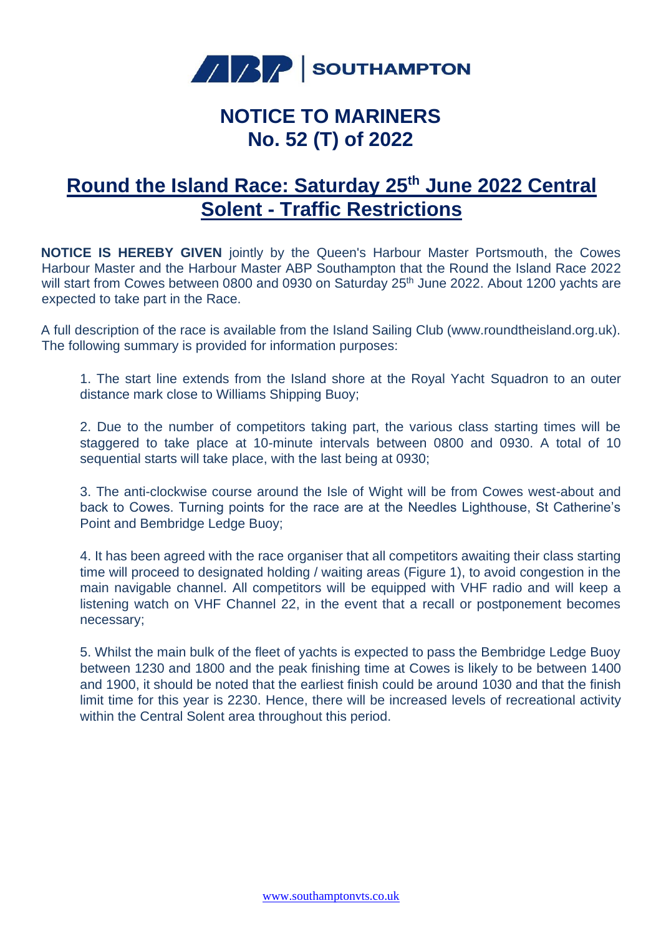

## **NOTICE TO MARINERS No. 52 (T) of 2022**

## **Round the Island Race: Saturday 25th June 2022 Central Solent - Traffic Restrictions**

**NOTICE IS HEREBY GIVEN** jointly by the Queen's Harbour Master Portsmouth, the Cowes Harbour Master and the Harbour Master ABP Southampton that the Round the Island Race 2022 will start from Cowes between 0800 and 0930 on Saturday 25<sup>th</sup> June 2022. About 1200 yachts are expected to take part in the Race.

A full description of the race is available from the Island Sailing Club (www.roundtheisland.org.uk). The following summary is provided for information purposes:

1. The start line extends from the Island shore at the Royal Yacht Squadron to an outer distance mark close to Williams Shipping Buoy;

2. Due to the number of competitors taking part, the various class starting times will be staggered to take place at 10-minute intervals between 0800 and 0930. A total of 10 sequential starts will take place, with the last being at 0930;

3. The anti-clockwise course around the Isle of Wight will be from Cowes west-about and back to Cowes. Turning points for the race are at the Needles Lighthouse, St Catherine's Point and Bembridge Ledge Buoy;

4. It has been agreed with the race organiser that all competitors awaiting their class starting time will proceed to designated holding / waiting areas (Figure 1), to avoid congestion in the main navigable channel. All competitors will be equipped with VHF radio and will keep a listening watch on VHF Channel 22, in the event that a recall or postponement becomes necessary;

5. Whilst the main bulk of the fleet of yachts is expected to pass the Bembridge Ledge Buoy between 1230 and 1800 and the peak finishing time at Cowes is likely to be between 1400 and 1900, it should be noted that the earliest finish could be around 1030 and that the finish limit time for this year is 2230. Hence, there will be increased levels of recreational activity within the Central Solent area throughout this period.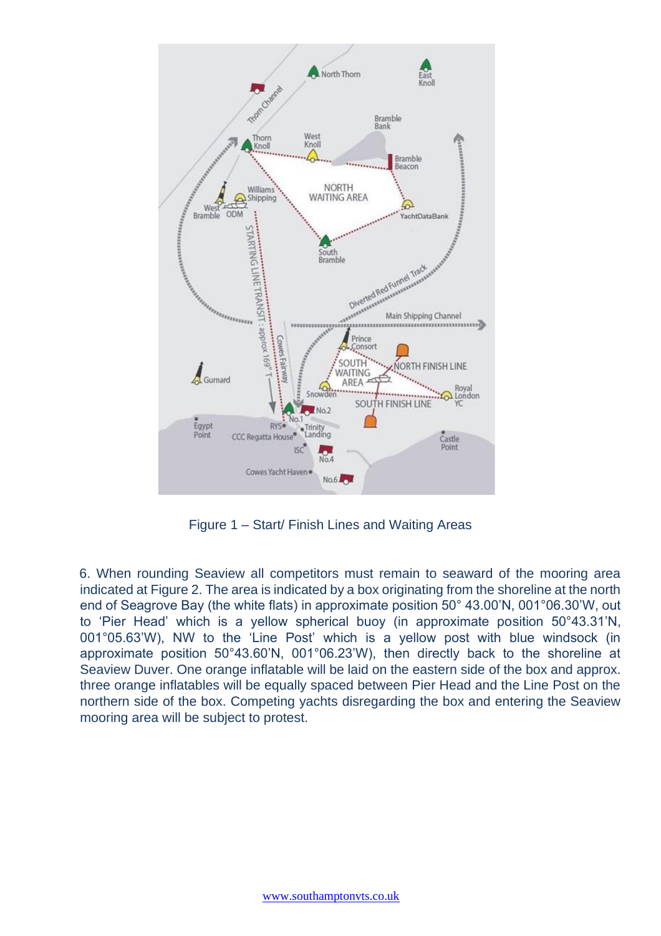

Figure 1 – Start/ Finish Lines and Waiting Areas

6. When rounding Seaview all competitors must remain to seaward of the mooring area indicated at Figure 2. The area is indicated by a box originating from the shoreline at the north end of Seagrove Bay (the white flats) in approximate position 50° 43.00'N, 001°06.30'W, out to 'Pier Head' which is a yellow spherical buoy (in approximate position 50°43.31'N, 001°05.63'W), NW to the 'Line Post' which is a yellow post with blue windsock (in approximate position 50°43.60'N, 001°06.23'W), then directly back to the shoreline at Seaview Duver. One orange inflatable will be laid on the eastern side of the box and approx. three orange inflatables will be equally spaced between Pier Head and the Line Post on the northern side of the box. Competing yachts disregarding the box and entering the Seaview mooring area will be subject to protest.